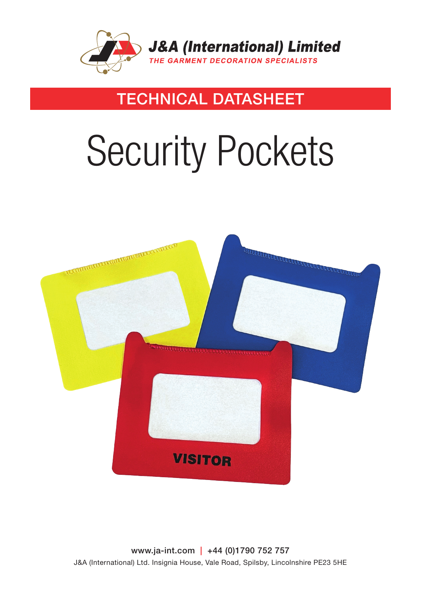

### TECHNICAL DATASHEET

# Security Pockets



www.ja-int.com | +44 (0)1790 752 757 J&A (International) Ltd. Insignia House, Vale Road, Spilsby, Lincolnshire PE23 5HE